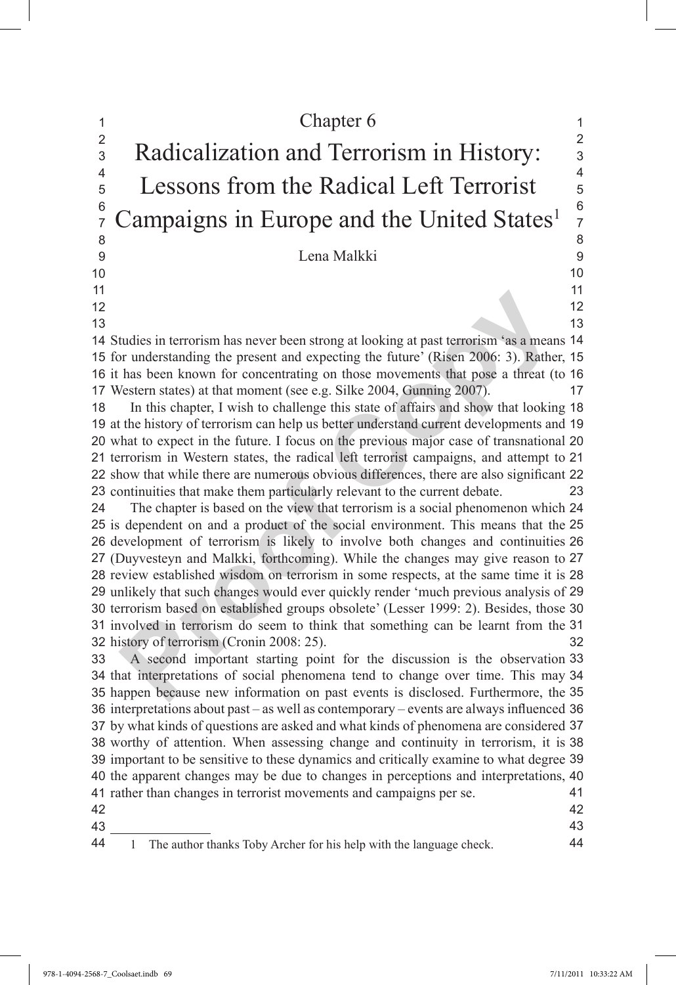| 1              | Chapter 6                                                                                                                                                                           | 1                            |
|----------------|-------------------------------------------------------------------------------------------------------------------------------------------------------------------------------------|------------------------------|
| $\overline{2}$ |                                                                                                                                                                                     | $\overline{2}$               |
| 3              | Radicalization and Terrorism in History:                                                                                                                                            | 3                            |
| 4<br>5         | Lessons from the Radical Left Terrorist                                                                                                                                             | $\overline{\mathbf{4}}$<br>5 |
| 6              |                                                                                                                                                                                     | 6                            |
| $\overline{7}$ | Campaigns in Europe and the United States <sup>1</sup>                                                                                                                              | $\overline{7}$               |
| 8<br>9         | Lena Malkki                                                                                                                                                                         | 8<br>9                       |
| 10             |                                                                                                                                                                                     | 10                           |
| 11             |                                                                                                                                                                                     | 11                           |
| 12             |                                                                                                                                                                                     | 12                           |
| 13             |                                                                                                                                                                                     | 13                           |
|                | 14 Studies in terrorism has never been strong at looking at past terrorism 'as a means 14                                                                                           |                              |
|                | 15 for understanding the present and expecting the future' (Risen 2006: 3). Rather, 15                                                                                              |                              |
|                | 16 it has been known for concentrating on those movements that pose a threat (to 16                                                                                                 |                              |
|                | 17 Western states) at that moment (see e.g. Silke 2004, Gunning 2007).                                                                                                              | 17                           |
| 18             | In this chapter, I wish to challenge this state of affairs and show that looking 18                                                                                                 |                              |
|                | 19 at the history of terrorism can help us better understand current developments and 19<br>20 what to expect in the future. I focus on the previous major case of transnational 20 |                              |
|                | 21 terrorism in Western states, the radical left terrorist campaigns, and attempt to 21                                                                                             |                              |
|                | 22 show that while there are numerous obvious differences, there are also significant 22                                                                                            |                              |
|                | 23 continuities that make them particularly relevant to the current debate.                                                                                                         | 23                           |
| 24             | The chapter is based on the view that terrorism is a social phenomenon which 24                                                                                                     |                              |
|                | 25 is dependent on and a product of the social environment. This means that the 25                                                                                                  |                              |
|                | 26 development of terrorism is likely to involve both changes and continuities 26                                                                                                   |                              |
|                | 27 (Duyvesteyn and Malkki, forthcoming). While the changes may give reason to 27                                                                                                    |                              |
|                | 28 review established wisdom on terrorism in some respects, at the same time it is 28                                                                                               |                              |
|                | 29 unlikely that such changes would ever quickly render 'much previous analysis of 29                                                                                               |                              |
|                | 30 terrorism based on established groups obsolete' (Lesser 1999: 2). Besides, those 30                                                                                              |                              |
|                | 31 involved in terrorism do seem to think that something can be learnt from the 31<br>32 history of terrorism (Cronin 2008: 25).                                                    | 32                           |
| 33             | A second important starting point for the discussion is the observation 33                                                                                                          |                              |
|                | 34 that interpretations of social phenomena tend to change over time. This may 34                                                                                                   |                              |
|                | 35 happen because new information on past events is disclosed. Furthermore, the 35                                                                                                  |                              |
|                | 36 interpretations about past – as well as contemporary – events are always influenced 36                                                                                           |                              |
|                | 37 by what kinds of questions are asked and what kinds of phenomena are considered 37                                                                                               |                              |
|                | 38 worthy of attention. When assessing change and continuity in terrorism, it is 38                                                                                                 |                              |
|                | 39 important to be sensitive to these dynamics and critically examine to what degree 39                                                                                             |                              |
|                | 40 the apparent changes may be due to changes in perceptions and interpretations, 40                                                                                                |                              |
|                | 41 rather than changes in terrorist movements and campaigns per se.                                                                                                                 | 41                           |
| 42             |                                                                                                                                                                                     | 42<br>43                     |
| 43<br>44       | The author thanks Toby Archer for his help with the language check.<br>1                                                                                                            | 44                           |
|                |                                                                                                                                                                                     |                              |

978-1-4094-2568-7\_Coolsaet.indb 69 7/11/2011 10:33:22 AM

I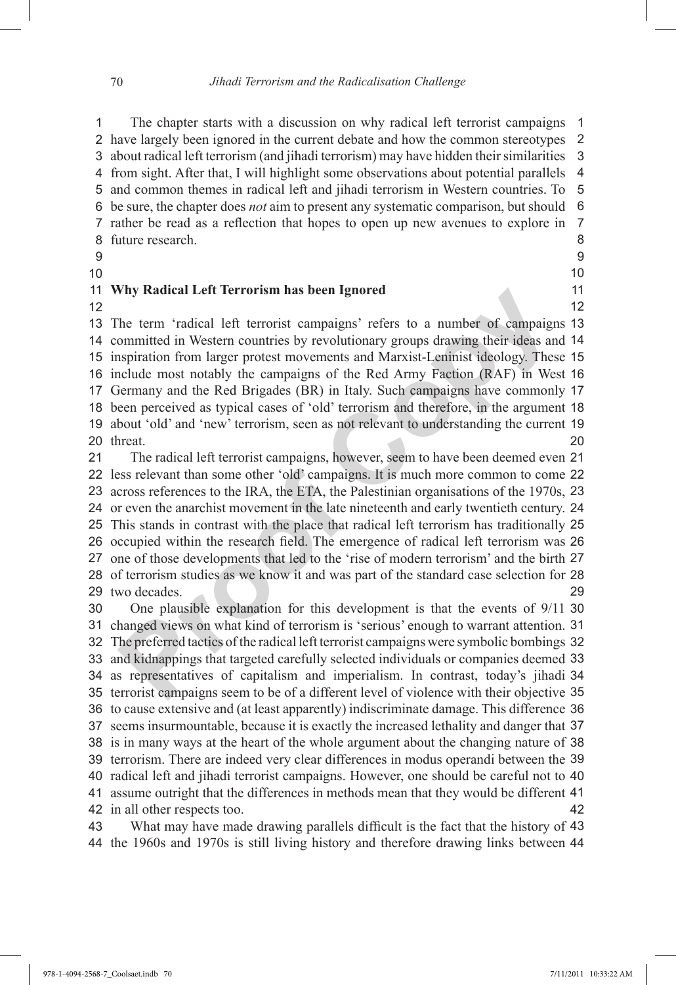have largely been ignored in the current debate and how the common stereotypes about radical left terrorism (and jihadi terrorism) may have hidden their similarities from sight. After that, I will highlight some observations about potential parallels and common themes in radical left and jihadi terrorism in Western countries. To be sure, the chapter does *not* aim to present any systematic comparison, but should The chapter starts with a discussion on why radical left terrorist campaigns rather be read as a reflection that hopes to open up new avenues to explore in future research.

# **Why Radical Left Terrorism has been Ignored**

 13 The term 'radical left terrorist campaigns' refers to a number of campaigns 14 committed in Western countries by revolutionary groups drawing their ideas and 15 inspiration from larger protest movements and Marxist-Leninist ideology. These 16 include most notably the campaigns of the Red Army Faction (RAF) in West 17 Germany and the Red Brigades (BR) in Italy. Such campaigns have commonly 18 been perceived as typical cases of 'old' terrorism and therefore, in the argument 19 about 'old' and 'new' terrorism, seen as not relevant to understanding the current threat. 

 22 less relevant than some other 'old' campaigns. It is much more common to come 23 across references to the IRA, the ETA, the Palestinian organisations of the 1970s, 24 or even the anarchist movement in the late nineteenth and early twentieth century. 25 This stands in contrast with the place that radical left terrorism has traditionally 26 occupied within the research field. The emergence of radical left terrorism was 27 one of those developments that led to the 'rise of modern terrorism' and the birth 28 of terrorism studies as we know it and was part of the standard case selection for two decades. The radical left terrorist campaigns, however, seem to have been deemed even 21 **Formation** Lett **Errorism has been ignored**<br>The term 'radical left terrorist campaigns' refers to a number of campaign<br>ommitted in Western countries by revolutionary groups drawing their ideas an<br>explantion from larger pr

 31 changed views on what kind of terrorism is 'serious' enough to warrant attention. 32 The preferred tactics of the radical left terrorist campaigns were symbolic bombings 33 and kidnappings that targeted carefully selected individuals or companies deemed 34 as representatives of capitalism and imperialism. In contrast, today's jihadi 35 terrorist campaigns seem to be of a different level of violence with their objective 36 to cause extensive and (at least apparently) indiscriminate damage. This difference 37 seems insurmountable, because it is exactly the increased lethality and danger that 38 is in many ways at the heart of the whole argument about the changing nature of 39 terrorism. There are indeed very clear differences in modus operandi between the 40 radical left and jihadi terrorist campaigns. However, one should be careful not to 41 assume outright that the differences in methods mean that they would be different in all other respects too. One plausible explanation for this development is that the events of 9/11 30 

 44 the 1960s and 1970s is still living history and therefore drawing links between What may have made drawing parallels difficult is the fact that the history of 43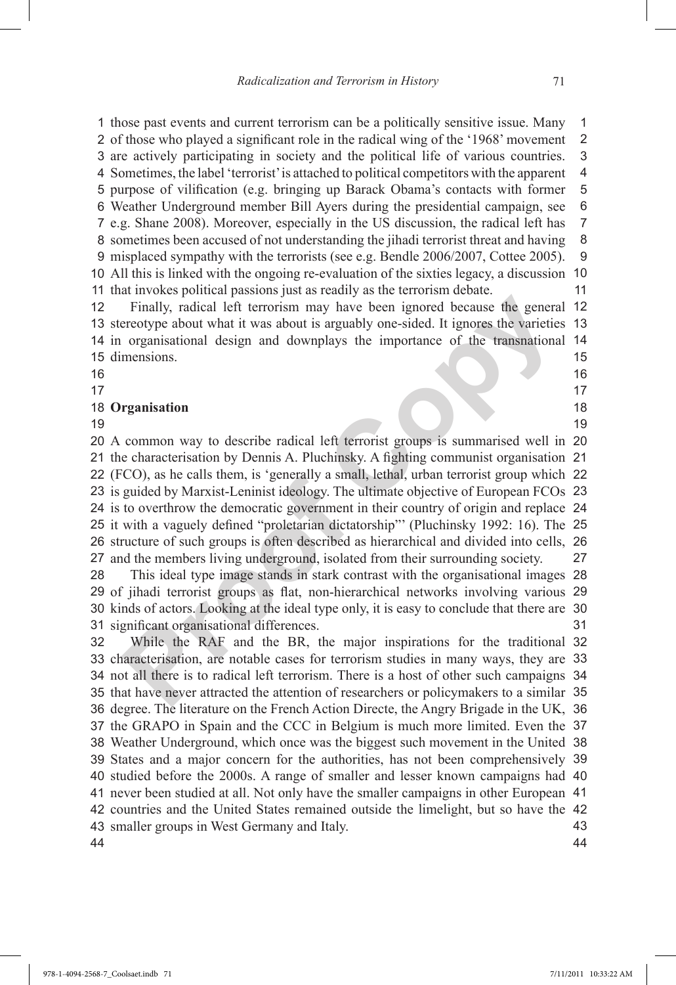1 those past events and current terrorism can be a politically sensitive issue. Many  $\overline{1}$  2 of those who played a significant role in the radical wing of the '1968' movement  $\overline{2}$ are actively participating in society and the political life of various countries. Sometimes, the label 'terrorist' is attached to political competitors with the apparent  $\overline{4}$ purpose of vilification (e.g. bringing up Barack Obama's contacts with former Weather Underground member Bill Ayers during the presidential campaign, see e.g. Shane 2008). Moreover, especially in the US discussion, the radical left has  $\overline{7}$ sometimes been accused of not understanding the jihadi terrorist threat and having misplaced sympathy with the terrorists (see e.g. Bendle 2006/2007, Cottee 2005). 10 All this is linked with the ongoing re-evaluation of the sixties legacy, a discussion that invokes political passions just as readily as the terrorism debate. Finally, radical left terrorism may have been ignored because the general 12

 13 stereotype about what it was about is arguably one-sided. It ignores the varieties 14 in organisational design and downplays the importance of the transnational dimensions. 

### 

### **Organisation**

Finally, radical left errorism may have been ignored because the genera<br>recotype about what it was about is arguably one-sided. It ignores the varieties<br>organisational design and downplays the importance of the transnation 20 A common way to describe radical left terrorist groups is summarised well in 21 the characterisation by Dennis A. Pluchinsky. A fighting communist organisation 22 (FCO), as he calls them, is 'generally a small, lethal, urban terrorist group which 23 is guided by Marxist-Leninist ideology. The ultimate objective of European FCOs 24 is to overthrow the democratic government in their country of origin and replace 25 it with a vaguely defined "proletarian dictatorship"' (Pluchinsky 1992: 16). The 26 structure of such groups is often described as hierarchical and divided into cells, and the members living underground, isolated from their surrounding society. 

 29 of jihadi terrorist groups as flat, non-hierarchical networks involving various 30 kinds of actors. Looking at the ideal type only, it is easy to conclude that there are significant organisational differences. This ideal type image stands in stark contrast with the organisational images 28 

 33 characterisation, are notable cases for terrorism studies in many ways, they are 34 not all there is to radical left terrorism. There is a host of other such campaigns 35 that have never attracted the attention of researchers or policymakers to a similar 36 degree. The literature on the French Action Directe, the Angry Brigade in the UK, 37 the GRAPO in Spain and the CCC in Belgium is much more limited. Even the 38 Weather Underground, which once was the biggest such movement in the United 39 States and a major concern for the authorities, has not been comprehensively 40 studied before the 2000s. A range of smaller and lesser known campaigns had 41 never been studied at all. Not only have the smaller campaigns in other European 42 countries and the United States remained outside the limelight, but so have the smaller groups in West Germany and Italy. While the RAF and the BR, the major inspirations for the traditional 32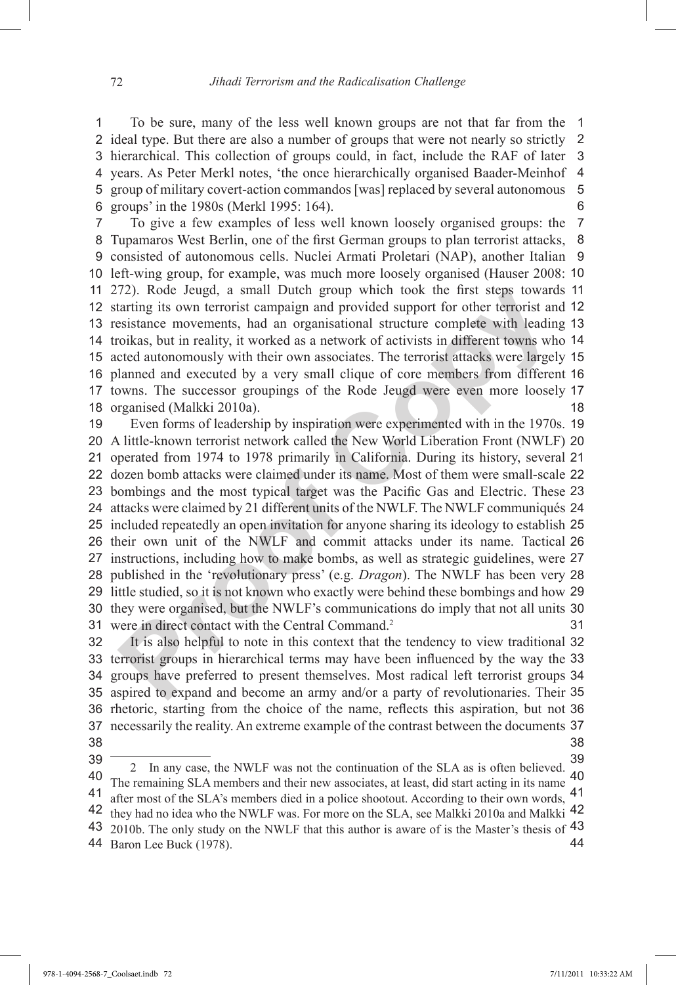2 ideal type. But there are also a number of groups that were not nearly so strictly hierarchical. This collection of groups could, in fact, include the RAF of later years. As Peter Merkl notes, 'the once hierarchically organised Baader-Meinhof group of military covert-action commandos [was] replaced by several autonomous To be sure, many of the less well known groups are not that far from the groups' in the 1980s (Merkl 1995: 164).

 9 consisted of autonomous cells. Nuclei Armati Proletari (NAP), another Italian 10 left-wing group, for example, was much more loosely organised (Hauser 2008: 11 272). Rode Jeugd, a small Dutch group which took the first steps towards 12 starting its own terrorist campaign and provided support for other terrorist and 12 13 resistance movements, had an organisational structure complete with leading 14 troikas, but in reality, it worked as a network of activists in different towns who 15 acted autonomously with their own associates. The terrorist attacks were largely 16 planned and executed by a very small clique of core members from different 17 towns. The successor groupings of the Rode Jeugd were even more loosely organised (Malkki 2010a). To give a few examples of less well known loosely organised groups: the Tupamaros West Berlin, one of the first German groups to plan terrorist attacks,

 20 A little-known terrorist network called the New World Liberation Front (NWLF) 21 operated from 1974 to 1978 primarily in California. During its history, several 22 dozen bomb attacks were claimed under its name. Most of them were small-scale 23 bombings and the most typical target was the Pacific Gas and Electric. These 24 attacks were claimed by 21 different units of the NWLF. The NWLF communiqués 25 included repeatedly an open invitation for anyone sharing its ideology to establish 26 their own unit of the NWLF and commit attacks under its name. Tactical 27 instructions, including how to make bombs, as well as strategic guidelines, were 28 published in the 'revolutionary press' (e.g. *Dragon*). The NWLF has been very 29 little studied, so it is not known who exactly were behind these bombings and how 30 they were organised, but the NWLF's communications do imply that not all units were in direct contact with the Central Command.2 Even forms of leadership by inspiration were experimented with in the 1970s. 19 /2). Kode Jeugal, a small Dutch group winch took the first steps towards<br>tarting its own terrorist campaign and provided support for other terrorist an<br>esistance movements, had an organisational structure complete with lea

 33 terrorist groups in hierarchical terms may have been influenced by the way the 35 aspired to expand and become an army and/or a party of revolutionaries. Their 36 rhetoric, starting from the choice of the name, reflects this aspiration, but not 37 necessarily the reality. An extreme example of the contrast between the documents It is also helpful to note in this context that the tendency to view traditional 32 34 groups have preferred to present themselves. Most radical left terrorist groups 

 they had no idea who the NWLF was. For more on the SLA, see Malkki 2010a and Malkki 42 2010b. The only study on the NWLF that this author is aware of is the Master's thesis of 43 In any case, the NWLF was not the continuation of the SLA as is often believed. The remaining SLA members and their new associates, at least, did start acting in its name after most of the SLA's members died in a police shootout. According to their own words,

Baron Lee Buck (1978).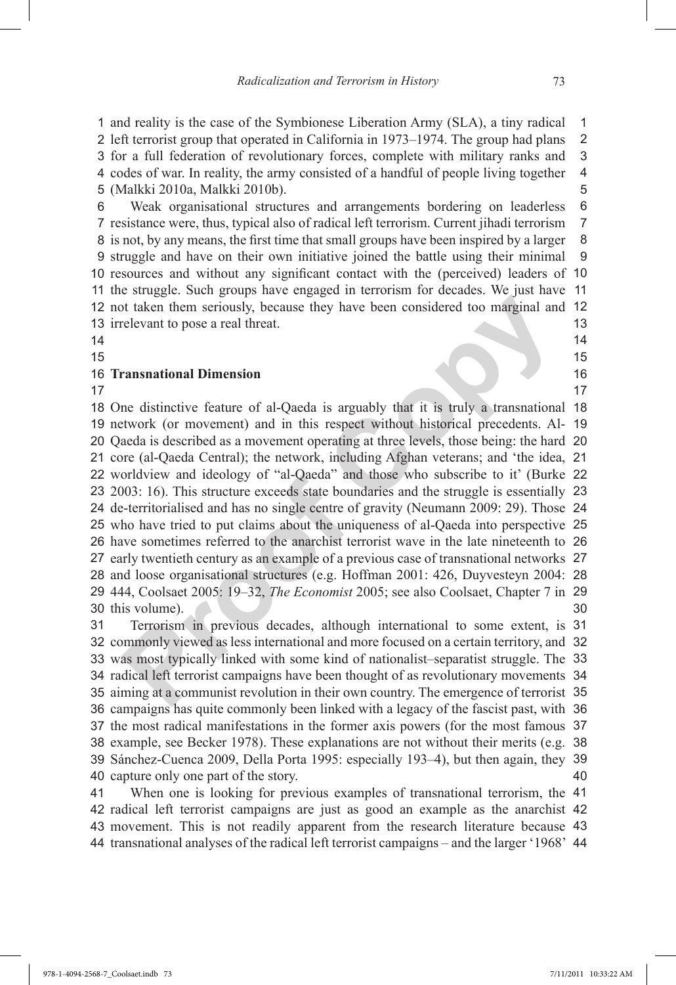and reality is the case of the Symbionese Liberation Army (SLA), a tiny radical  $\mathbf{1}$  2 left terrorist group that operated in California in 1973–1974. The group had plans  $\overline{2}$ for a full federation of revolutionary forces, complete with military ranks and codes of war. In reality, the army consisted of a handful of people living together  $\overline{4}$ (Malkki 2010a, Malkki 2010b). 

Weak organisational structures and arrangements bordering on leaderless resistance were, thus, typical also of radical left terrorism. Current jihadi terrorism  $\overline{7}$ is not, by any means, the first time that small groups have been inspired by a larger struggle and have on their own initiative joined the battle using their minimal 10 resources and without any significant contact with the (perceived) leaders of 11 the struggle. Such groups have engaged in terrorism for decades. We just have 12 not taken them seriously, because they have been considered too marginal and irrelevant to pose a real threat. 

 

## **Transnational Dimension**

of the members of the members of the Europhian interaction of the members of the members of the members of the members of the members of the members of the members of the members of control and in this respect without hist 18 One distinctive feature of al-Qaeda is arguably that it is truly a transnational 19 network (or movement) and in this respect without historical precedents. Al- 20 Qaeda is described as a movement operating at three levels, those being: the hard 21 core (al-Qaeda Central); the network, including Afghan veterans; and 'the idea, 22 worldview and ideology of "al-Qaeda" and those who subscribe to it' (Burke 23 2003: 16). This structure exceeds state boundaries and the struggle is essentially 24 de-territorialised and has no single centre of gravity (Neumann 2009: 29). Those 25 who have tried to put claims about the uniqueness of al-Qaeda into perspective 26 have sometimes referred to the anarchist terrorist wave in the late nineteenth to 27 early twentieth century as an example of a previous case of transnational networks 28 and loose organisational structures (e.g. Hoffman 2001: 426, Duyvesteyn 2004: 29 444, Coolsaet 2005: 19–32, *The Economist* 2005; see also Coolsaet, Chapter 7 in this volume). 

 32 commonly viewed as less international and more focused on a certain territory, and 33 was most typically linked with some kind of nationalist–separatist struggle. The 34 radical left terrorist campaigns have been thought of as revolutionary movements 35 aiming at a communist revolution in their own country. The emergence of terrorist 36 campaigns has quite commonly been linked with a legacy of the fascist past, with 37 the most radical manifestations in the former axis powers (for the most famous 38 example, see Becker 1978). These explanations are not without their merits (e.g. 39 Sánchez-Cuenca 2009, Della Porta 1995: especially 193–4), but then again, they capture only one part of the story. Terrorism in previous decades, although international to some extent, is 31 

 42 radical left terrorist campaigns are just as good an example as the anarchist 43 movement. This is not readily apparent from the research literature because 44 transnational analyses of the radical left terrorist campaigns – and the larger '1968' When one is looking for previous examples of transnational terrorism, the 41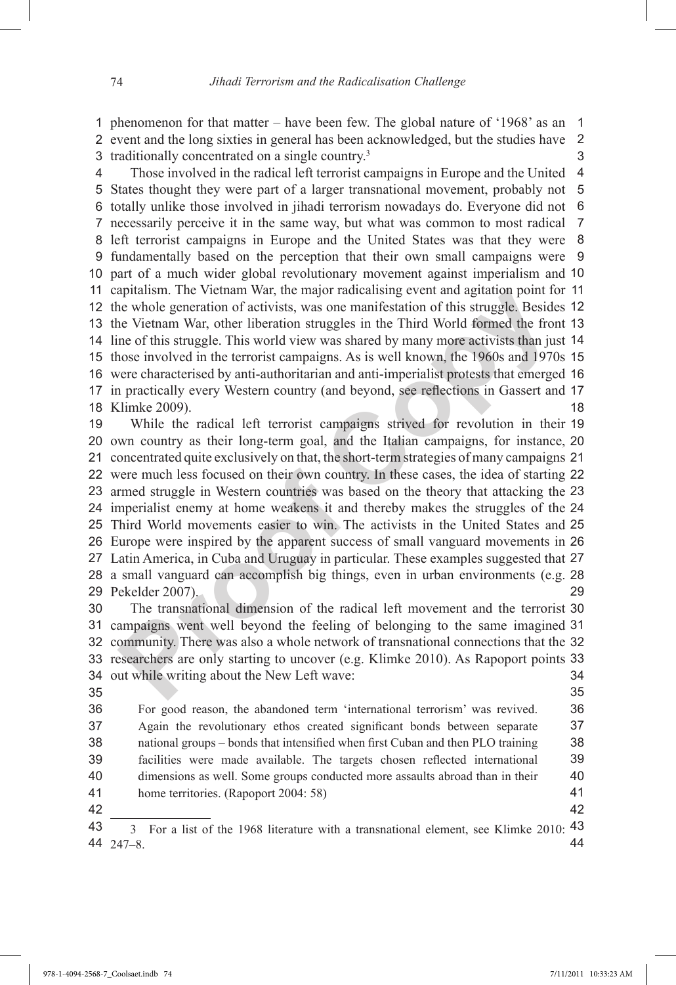phenomenon for that matter – have been few. The global nature of '1968' as an 2 event and the long sixties in general has been acknowledged, but the studies have 3 traditionally concentrated on a single country.<sup>3</sup> 

 States thought they were part of a larger transnational movement, probably not totally unlike those involved in jihadi terrorism nowadays do. Everyone did not necessarily perceive it in the same way, but what was common to most radical left terrorist campaigns in Europe and the United States was that they were 9 fundamentally based on the perception that their own small campaigns were 10 part of a much wider global revolutionary movement against imperialism and 11 capitalism. The Vietnam War, the major radicalising event and agitation point for 11 12 the whole generation of activists, was one manifestation of this struggle. Besides 13 the Vietnam War, other liberation struggles in the Third World formed the front 14 line of this struggle. This world view was shared by many more activists than just 15 those involved in the terrorist campaigns. As is well known, the 1960s and 1970s 16 were characterised by anti-authoritarian and anti-imperialist protests that emerged 17 in practically every Western country (and beyond, see reflections in Gassert and Klimke 2009). 20 own country as their long-term goal, and the Italian campaigns, for instance, 21 concentrated quite exclusively on that, the short-term strategies of many campaigns 22 were much less focused on their own country. In these cases, the idea of starting 23 armed struggle in Western countries was based on the theory that attacking the 24 imperialist enemy at home weakens it and thereby makes the struggles of the 25 Third World movements easier to win. The activists in the United States and 26 Europe were inspired by the apparent success of small vanguard movements in 27 Latin America, in Cuba and Uruguay in particular. These examples suggested that 28 a small vanguard can accomplish big things, even in urban environments (e.g. While the radical left terrorist campaigns strived for revolution in their 19 aptainsm. In viewtamm war, the may radiatising event and agtatuon point tract<br>per whole generation of activists, was one mainfestation of this struggle. Beside<br>the Vietnam War, other liberation struggles in the Third World Those involved in the radical left terrorist campaigns in Europe and the United

Pekelder 2007).

 31 campaigns went well beyond the feeling of belonging to the same imagined 32 community. There was also a whole network of transnational connections that the 33 researchers are only starting to uncover (e.g. Klimke 2010). As Rapoport points The transnational dimension of the radical left movement and the terrorist 30 out while writing about the New Left wave:

 For good reason, the abandoned term 'international terrorism' was revived. Again the revolutionary ethos created significant bonds between separate national groups – bonds that intensified when first Cuban and then PLO training facilities were made available. The targets chosen reflected international dimensions as well. Some groups conducted more assaults abroad than in their home territories. (Rapoport 2004: 58)

 247–8. 3 For a list of the 1968 literature with a transnational element, see Klimke 2010: 43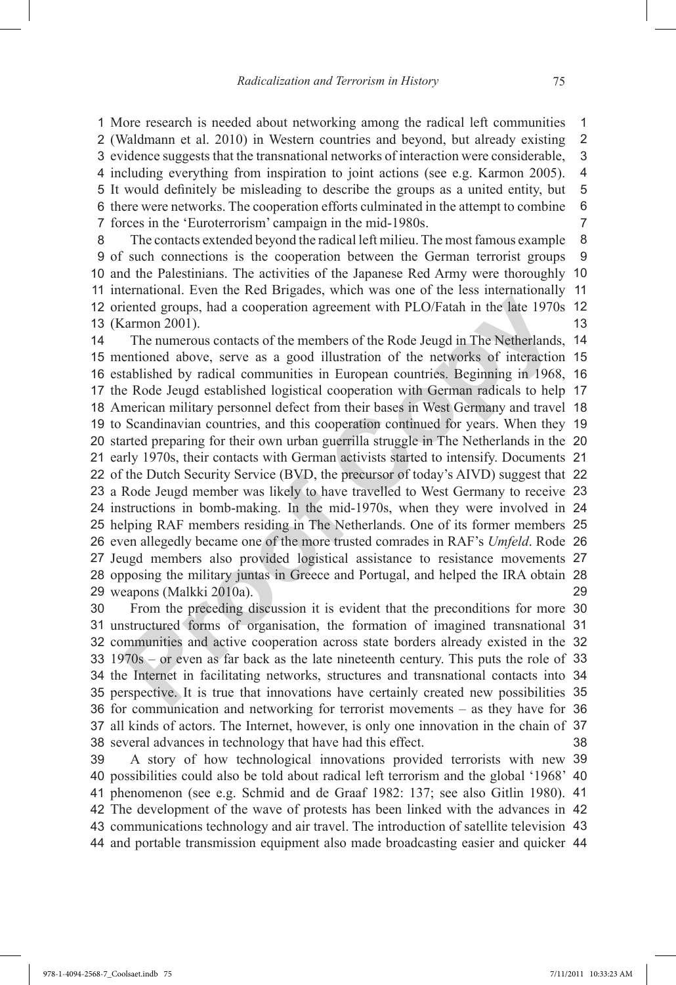More research is needed about networking among the radical left communities  $\overline{1}$  (Waldmann et al. 2010) in Western countries and beyond, but already existing  $\overline{2}$ 3 evidence suggests that the transnational networks of interaction were considerable, including everything from inspiration to joint actions (see e.g. Karmon 2005).  $\overline{4}$ It would definitely be misleading to describe the groups as a united entity, but 6 there were networks. The cooperation efforts culminated in the attempt to combine 7 forces in the 'Euroterrorism' campaign in the mid-1980s.  $\overline{7}$ 

The contacts extended beyond the radical left milieu. The most famous example 9 of such connections is the cooperation between the German terrorist groups 10 and the Palestinians. The activities of the Japanese Red Army were thoroughly 11 international. Even the Red Brigades, which was one of the less internationally 12 oriented groups, had a cooperation agreement with PLO/Fatah in the late 1970s (Karmon 2001).

iented groups, had a cooperation agreement with PLO/Fatah in the late 1970;<br>
The numerous contacts of the members of the Rode Jeugd in The Netherlands<br>
The numerous contacts of the members of the Rode Jeugd in The Netherla 15 mentioned above, serve as a good illustration of the networks of interaction 16 established by radical communities in European countries. Beginning in 1968, 17 the Rode Jeugd established logistical cooperation with German radicals to help 18 American military personnel defect from their bases in West Germany and travel 19 to Scandinavian countries, and this cooperation continued for years. When they 20 started preparing for their own urban guerrilla struggle in The Netherlands in the 21 early 1970s, their contacts with German activists started to intensify. Documents 22 of the Dutch Security Service (BVD, the precursor of today's AIVD) suggest that 23 a Rode Jeugd member was likely to have travelled to West Germany to receive 24 instructions in bomb-making. In the mid-1970s, when they were involved in 25 helping RAF members residing in The Netherlands. One of its former members 26 even allegedly became one of the more trusted comrades in RAF's *Umfeld*. Rode 27 Jeugd members also provided logistical assistance to resistance movements 28 opposing the military juntas in Greece and Portugal, and helped the IRA obtain weapons (Malkki 2010a). The numerous contacts of the members of the Rode Jeugd in The Netherlands, 14 

 31 unstructured forms of organisation, the formation of imagined transnational 32 communities and active cooperation across state borders already existed in the 33 1970s – or even as far back as the late nineteenth century. This puts the role of 34 the Internet in facilitating networks, structures and transnational contacts into 35 perspective. It is true that innovations have certainly created new possibilities 36 for communication and networking for terrorist movements – as they have for 37 all kinds of actors. The Internet, however, is only one innovation in the chain of several advances in technology that have had this effect. From the preceding discussion it is evident that the preconditions for more 30 

 40 possibilities could also be told about radical left terrorism and the global '1968' 41 phenomenon (see e.g. Schmid and de Graaf 1982: 137; see also Gitlin 1980). 42 The development of the wave of protests has been linked with the advances in 43 communications technology and air travel. The introduction of satellite television 44 and portable transmission equipment also made broadcasting easier and quicker A story of how technological innovations provided terrorists with new 39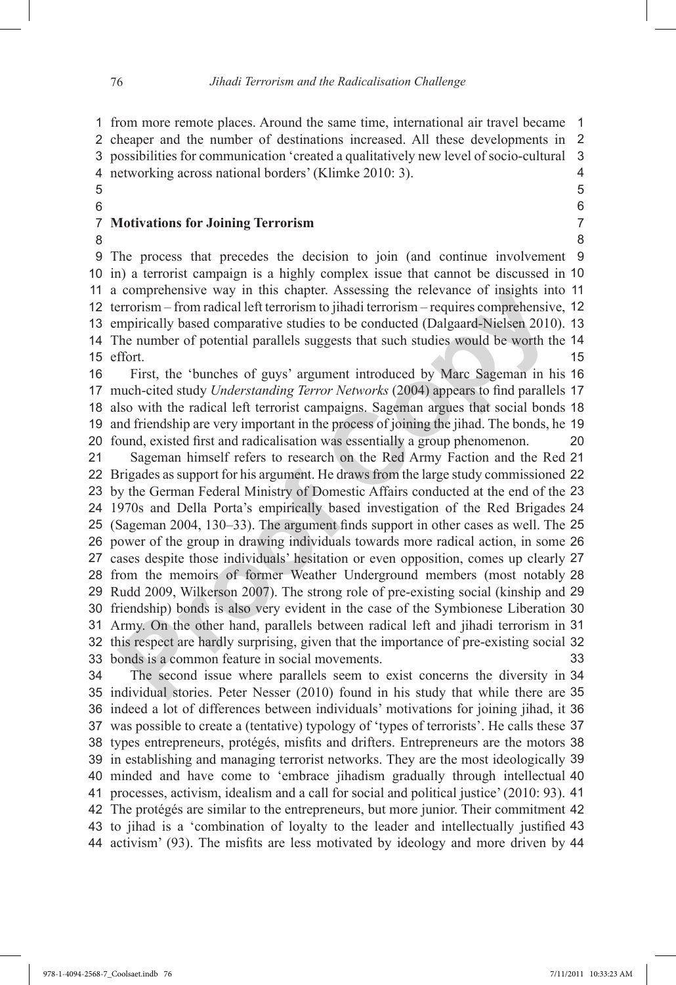#### *Jihadi Terrorism and the Radicalisation Challenge*

 from more remote places. Around the same time, international air travel became cheaper and the number of destinations increased. All these developments in possibilities for communication 'created a qualitatively new level of socio-cultural networking across national borders' (Klimke 2010: 3). 

### **Motivations for Joining Terrorism**

 9 The process that precedes the decision to join (and continue involvement 10 in) a terrorist campaign is a highly complex issue that cannot be discussed in 11 a comprehensive way in this chapter. Assessing the relevance of insights into 12 terrorism – from radical left terrorism to jihadi terrorism – requires comprehensive, 13 empirically based comparative studies to be conducted (Dalgaard-Nielsen 2010). 14 The number of potential parallels suggests that such studies would be worth the effort. 

 17 much-cited study *Understanding Terror Networks* (2004) appears to find parallels 18 also with the radical left terrorist campaigns. Sageman argues that social bonds 19 and friendship are very important in the process of joining the jihad. The bonds, he found, existed first and radicalisation was essentially a group phenomenon. First, the 'bunches of guys' argument introduced by Marc Sageman in his 16 

 22 Brigades as support for his argument. He draws from the large study commissioned 23 by the German Federal Ministry of Domestic Affairs conducted at the end of the 24 1970s and Della Porta's empirically based investigation of the Red Brigades 25 (Sageman 2004, 130–33). The argument finds support in other cases as well. The 26 power of the group in drawing individuals towards more radical action, in some 27 cases despite those individuals' hesitation or even opposition, comes up clearly 28 from the memoirs of former Weather Underground members (most notably 29 Rudd 2009, Wilkerson 2007). The strong role of pre-existing social (kinship and 30 friendship) bonds is also very evident in the case of the Symbionese Liberation 31 Army. On the other hand, parallels between radical left and jihadi terrorism in 32 this respect are hardly surprising, given that the importance of pre-existing social bonds is a common feature in social movements. Sageman himself refers to research on the Red Army Faction and the Red 21 compenensive way in this chapter. Assessing the relevance of insights inter-<br>errorism – from radical left terrorism oi juhal terrorism – requires comprehensive<br>mpirically based comparative studies to be conducted (Dalgaard

 35 individual stories. Peter Nesser (2010) found in his study that while there are 36 indeed a lot of differences between individuals' motivations for joining jihad, it 37 was possible to create a (tentative) typology of 'types of terrorists'. He calls these 38 types entrepreneurs, protégés, misfits and drifters. Entrepreneurs are the motors 39 in establishing and managing terrorist networks. They are the most ideologically 40 minded and have come to 'embrace jihadism gradually through intellectual 41 processes, activism, idealism and a call for social and political justice' (2010: 93). 42 The protégés are similar to the entrepreneurs, but more junior. Their commitment 43 to jihad is a 'combination of loyalty to the leader and intellectually justified 44 activism' (93). The misfits are less motivated by ideology and more driven by The second issue where parallels seem to exist concerns the diversity in 34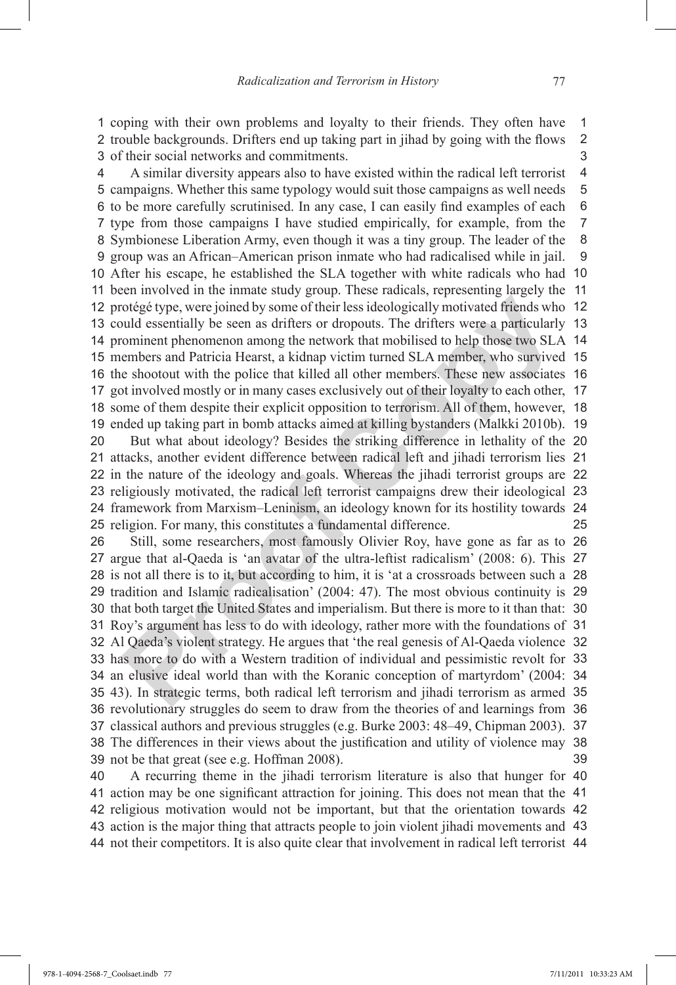coping with their own problems and loyalty to their friends. They often have  $\overline{1}$ 2 trouble backgrounds. Drifters end up taking part in jihad by going with the flows  $\overline{2}$ 3 of their social networks and commitments. 

  $\overline{\mathbf{4}}$ A similar diversity appears also to have existed within the radical left terrorist  $\overline{4}$ campaigns. Whether this same typology would suit those campaigns as well needs to be more carefully scrutinised. In any case, I can easily find examples of each type from those campaigns I have studied empirically, for example, from the  $\overline{7}$ 8 Symbionese Liberation Army, even though it was a tiny group. The leader of the group was an African–American prison inmate who had radicalised while in jail. 10 After his escape, he established the SLA together with white radicals who had 11 been involved in the inmate study group. These radicals, representing largely the 11 12 protégé type, were joined by some of their less ideologically motivated friends who 13 could essentially be seen as drifters or dropouts. The drifters were a particularly 14 prominent phenomenon among the network that mobilised to help those two SLA 15 members and Patricia Hearst, a kidnap victim turned SLA member, who survived 16 the shootout with the police that killed all other members. These new associates 17 got involved mostly or in many cases exclusively out of their loyalty to each other, 18 some of them despite their explicit opposition to terrorism. All of them, however, 19 ended up taking part in bomb attacks aimed at killing bystanders (Malkki 2010b). But what about ideology? Besides the striking difference in lethality of the 20

 21 attacks, another evident difference between radical left and jihadi terrorism lies 22 in the nature of the ideology and goals. Whereas the jihadi terrorist groups are 23 religiously motivated, the radical left terrorist campaigns drew their ideological 24 framework from Marxism–Leninism, an ideology known for its hostility towards religion. For many, this constitutes a fundamental difference. 

otégé type, were joined by some of their less ideologically motivated friends whold essentially be seen as drifters or dropouts. The drifters were a particularly motivated exentially be seen as drifters or dropouts. The dr 27 argue that al-Qaeda is 'an avatar of the ultra-leftist radicalism' (2008: 6). This 28 is not all there is to it, but according to him, it is 'at a crossroads between such a 29 tradition and Islamic radicalisation' (2004: 47). The most obvious continuity is 30 that both target the United States and imperialism. But there is more to it than that: 31 Roy's argument has less to do with ideology, rather more with the foundations of 32 Al Qaeda's violent strategy. He argues that 'the real genesis of Al-Qaeda violence 33 has more to do with a Western tradition of individual and pessimistic revolt for 34 an elusive ideal world than with the Koranic conception of martyrdom' (2004: 35 43). In strategic terms, both radical left terrorism and jihadi terrorism as armed 36 revolutionary struggles do seem to draw from the theories of and learnings from 37 classical authors and previous struggles (e.g. Burke 2003: 48–49, Chipman 2003). 38 The differences in their views about the justification and utility of violence may not be that great (see e.g. Hoffman 2008). Still, some researchers, most famously Olivier Roy, have gone as far as to 26 

 41 action may be one significant attraction for joining. This does not mean that the 42 religious motivation would not be important, but that the orientation towards 43 action is the major thing that attracts people to join violent jihadi movements and 44 not their competitors. It is also quite clear that involvement in radical left terrorist 44 A recurring theme in the jihadi terrorism literature is also that hunger for 40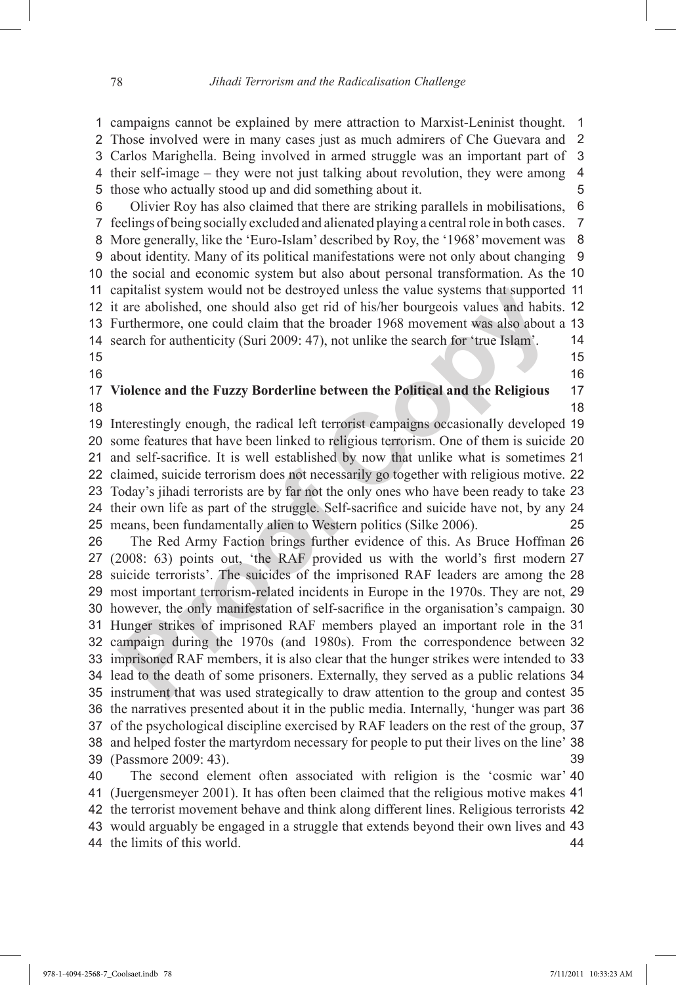campaigns cannot be explained by mere attraction to Marxist-Leninist thought. Those involved were in many cases just as much admirers of Che Guevara and Carlos Marighella. Being involved in armed struggle was an important part of their self-image – they were not just talking about revolution, they were among those who actually stood up and did something about it. 

 More generally, like the 'Euro-Islam' described by Roy, the '1968' movement was 10 the social and economic system but also about personal transformation. As the 12 it are abolished, one should also get rid of his/her bourgeois values and habits. 13 Furthermore, one could claim that the broader 1968 movement was also about a capitalist system would not be destroyed unless the value systems that supported 11 Olivier Roy has also claimed that there are striking parallels in mobilisations, feelings of being socially excluded and alienated playing a central role in both cases. about identity. Many of its political manifestations were not only about changing search for authenticity (Suri 2009: 47), not unlike the search for 'true Islam'.

#### **Violence and the Fuzzy Borderline between the Political and the Religious**

 19 Interestingly enough, the radical left terrorist campaigns occasionally developed 20 some features that have been linked to religious terrorism. One of them is suicide 21 and self-sacrifice. It is well established by now that unlike what is sometimes 22 claimed, suicide terrorism does not necessarily go together with religious motive. 23 Today's jihadi terrorists are by far not the only ones who have been ready to take 24 their own life as part of the struggle. Self-sacrifice and suicide have not, by any means, been fundamentally alien to Western politics (Silke 2006). 

 27 (2008: 63) points out, 'the RAF provided us with the world's first modern 28 suicide terrorists'. The suicides of the imprisoned RAF leaders are among the 29 most important terrorism-related incidents in Europe in the 1970s. They are not, 30 however, the only manifestation of self-sacrifice in the organisation's campaign. 31 Hunger strikes of imprisoned RAF members played an important role in the 32 campaign during the 1970s (and 1980s). From the correspondence between 33 imprisoned RAF members, it is also clear that the hunger strikes were intended to 34 lead to the death of some prisoners. Externally, they served as a public relations 35 instrument that was used strategically to draw attention to the group and contest 36 the narratives presented about it in the public media. Internally, 'hunger was part 37 of the psychological discipline exercised by RAF leaders on the rest of the group, The Red Army Faction brings further evidence of this. As Bruce Hoffman 26 and helped foster the martyrdom necessary for people to put their lives on the line' 38 The second element often associated with religion is the 'cosmic war' 40 applialist system would not be destroyed unless the value systems that are abolished, one should also get rid of his/her bourgeois values and habit<br>urthermore, one could claim that the broader 1968 movement was also about<br> (Passmore 2009: 43).

 41 (Juergensmeyer 2001). It has often been claimed that the religious motive makes 42 the terrorist movement behave and think along different lines. Religious terrorists 43 would arguably be engaged in a struggle that extends beyond their own lives and the limits of this world.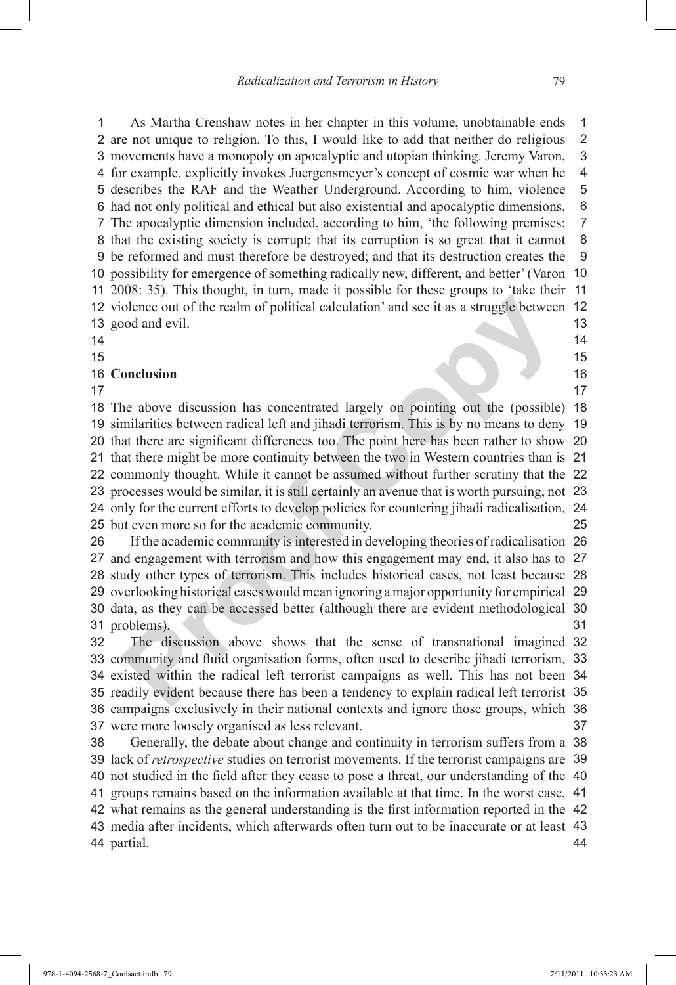As Martha Crenshaw notes in her chapter in this volume, unobtainable ends  $\overline{1}$  $\overline{1}$  2 are not unique to religion. To this, I would like to add that neither do religious  $\overline{2}$ 3 movements have a monopoly on apocalyptic and utopian thinking. Jeremy Varon, for example, explicitly invokes Juergensmeyer's concept of cosmic war when he  $\overline{4}$ describes the RAF and the Weather Underground. According to him, violence had not only political and ethical but also existential and apocalyptic dimensions. The apocalyptic dimension included, according to him, 'the following premises:  $\overline{7}$ 8 that the existing society is corrupt; that its corruption is so great that it cannot be reformed and must therefore be destroyed; and that its destruction creates the 10 possibility for emergence of something radically new, different, and better' (Varon 11 2008: 35). This thought, in turn, made it possible for these groups to 'take their 12 violence out of the realm of political calculation' and see it as a struggle between good and evil. 

#### **Conclusion**

olence out of the realm of political calculation' and see it as a struggle between<br>olence out of the realm of political calculation' and see it as a struggle between<br>ood and evil.<br>**Provide and EV** and interests on the poli 18 The above discussion has concentrated largely on pointing out the (possible) 19 similarities between radical left and jihadi terrorism. This is by no means to deny 20 that there are significant differences too. The point here has been rather to show 21 that there might be more continuity between the two in Western countries than is 21 22 commonly thought. While it cannot be assumed without further scrutiny that the 23 processes would be similar, it is still certainly an avenue that is worth pursuing, not 24 only for the current efforts to develop policies for countering jihadi radicalisation, but even more so for the academic community. 

 27 and engagement with terrorism and how this engagement may end, it also has to 28 study other types of terrorism. This includes historical cases, not least because 29 overlooking historical cases would mean ignoring a major opportunity for empirical 30 data, as they can be accessed better (although there are evident methodological problems). If the academic community is interested in developing theories of radicalisation 26 

 33 community and fluid organisation forms, often used to describe jihadi terrorism, 34 existed within the radical left terrorist campaigns as well. This has not been 35 readily evident because there has been a tendency to explain radical left terrorist 36 campaigns exclusively in their national contexts and ignore those groups, which were more loosely organised as less relevant. The discussion above shows that the sense of transnational imagined 32 

 39 lack of *retrospective* studies on terrorist movements. If the terrorist campaigns are 40 not studied in the field after they cease to pose a threat, our understanding of the 41 groups remains based on the information available at that time. In the worst case, 42 what remains as the general understanding is the first information reported in the 43 media after incidents, which afterwards often turn out to be inaccurate or at least partial. Generally, the debate about change and continuity in terrorism suffers from a 38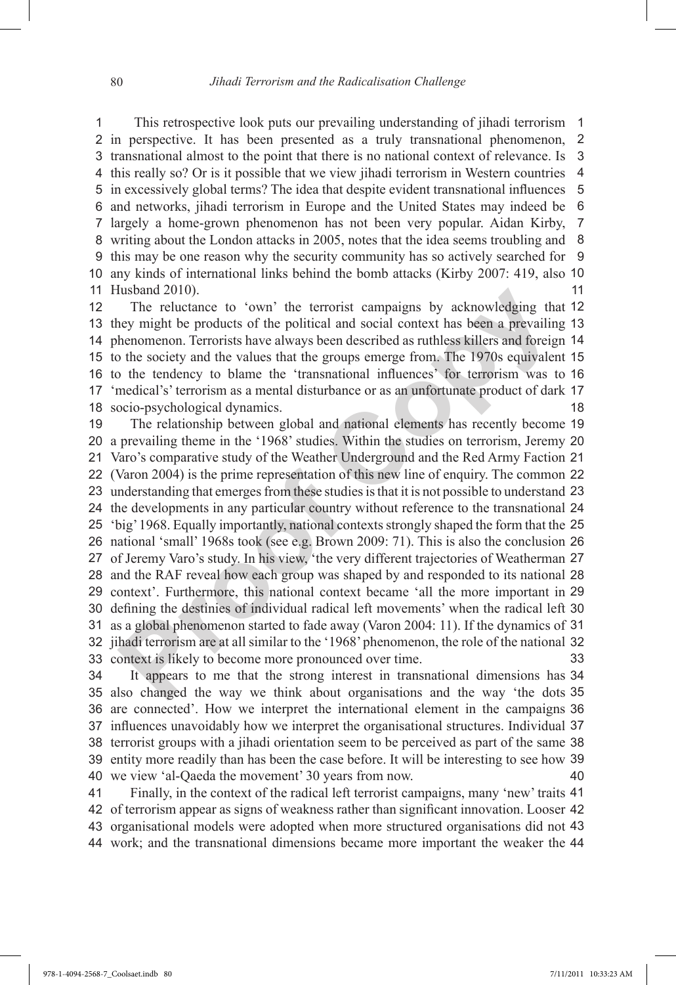in perspective. It has been presented as a truly transnational phenomenon, transnational almost to the point that there is no national context of relevance. Is this really so? Or is it possible that we view jihadi terrorism in Western countries in excessively global terms? The idea that despite evident transnational influences 10 any kinds of international links behind the bomb attacks (Kirby 2007: 419, also Husband 2010). This retrospective look puts our prevailing understanding of jihadi terrorism and networks, jihadi terrorism in Europe and the United States may indeed be largely a home-grown phenomenon has not been very popular. Aidan Kirby, writing about the London attacks in 2005, notes that the idea seems troubling and this may be one reason why the security community has so actively searched for

 13 they might be products of the political and social context has been a prevailing 14 phenomenon. Terrorists have always been described as ruthless killers and foreign 15 to the society and the values that the groups emerge from. The 1970s equivalent 16 to the tendency to blame the 'transnational influences' for terrorism was to 17 'medical's' terrorism as a mental disturbance or as an unfortunate product of dark socio-psychological dynamics. The reluctance to 'own' the terrorist campaigns by acknowledging that 12 

 20 a prevailing theme in the '1968' studies. Within the studies on terrorism, Jeremy 21 Varo's comparative study of the Weather Underground and the Red Army Faction 22 (Varon 2004) is the prime representation of this new line of enquiry. The common 23 understanding that emerges from these studies is that it is not possible to understand 24 the developments in any particular country without reference to the transnational 25 'big' 1968. Equally importantly, national contexts strongly shaped the form that the 26 national 'small' 1968s took (see e.g. Brown 2009: 71). This is also the conclusion 27 of Jeremy Varo's study. In his view, 'the very different trajectories of Weatherman 27 28 and the RAF reveal how each group was shaped by and responded to its national 29 context'. Furthermore, this national context became 'all the more important in 30 defining the destinies of individual radical left movements' when the radical left 31 as a global phenomenon started to fade away (Varon 2004: 11). If the dynamics of 32 jihadi terrorism are at all similar to the '1968' phenomenon, the role of the national context is likely to become more pronounced over time. The relationship between global and national elements has recently become 19 usband 2010). The terrorist campaigns by acknowledging than Tell The reluctance to 'own' the terrorist campaigns by acknowledging thanged the political and social context has been a prevailine henomenon. Terrorists have al

 35 also changed the way we think about organisations and the way 'the dots 36 are connected'. How we interpret the international element in the campaigns 37 influences unavoidably how we interpret the organisational structures. Individual 38 terrorist groups with a jihadi orientation seem to be perceived as part of the same 39 entity more readily than has been the case before. It will be interesting to see how we view 'al-Qaeda the movement' 30 years from now. It appears to me that the strong interest in transnational dimensions has 34 

 42 of terrorism appear as signs of weakness rather than significant innovation. Looser 43 organisational models were adopted when more structured organisations did not 44 work; and the transnational dimensions became more important the weaker the Finally, in the context of the radical left terrorist campaigns, many 'new' traits 41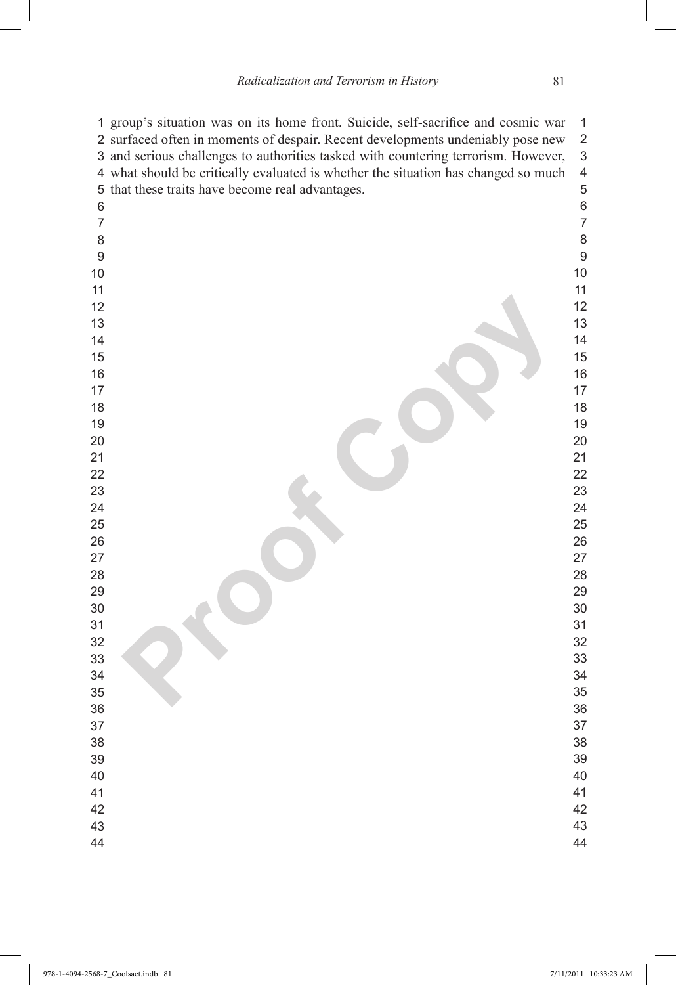group's situation was on its home front. Suicide, self-sacrifice and cosmic war  $\mathbf 1$ 2 surfaced often in moments of despair. Recent developments undeniably pose new  $\overline{2}$ and serious challenges to authorities tasked with countering terrorism. However, what should be critically evaluated is whether the situation has changed so much  $\overline{4}$ 5 that these traits have become real advantages.  $6\phantom{a}$  $\overline{7}$  **Proof Copy**  

 $6\phantom{a}$  $\overline{7}$ 

 $\overline{8}$